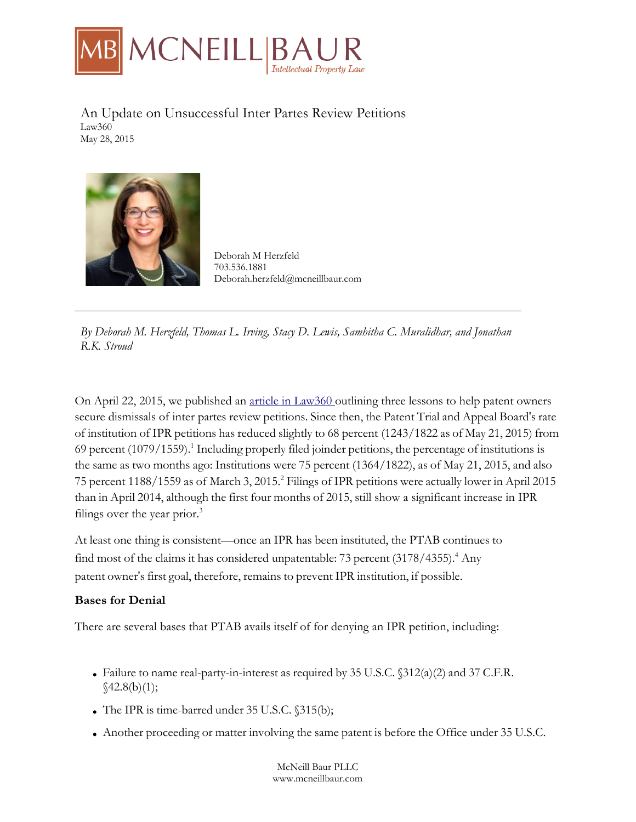

An Update on Unsuccessful Inter Partes Review Petitions Law360 May 28, 2015



Deborah M Herzfeld 703.536.1881 Deborah.herzfeld@mcneillbaur.com

*By Deborah M. Herzfeld, Thomas L. Irving, Stacy D. Lewis, Samhitha C. Muralidhar, and Jonathan R.K. Stroud*

On April 22, 2015, we published an article in Law360 outlining three lessons to help patent owners secure dismissals of inter partes review petitions. Since then, the Patent Trial and Appeal Board's rate of institution of IPR petitions has reduced slightly to 68 percent (1243/1822 as of May 21, 2015) from 69 percent  $(1079/1559)$ .<sup>1</sup> Including properly filed joinder petitions, the percentage of institutions is the same as two months ago: Institutions were 75 percent (1364/1822), as of May 21, 2015, and also 75 percent 1188/1559 as of March 3, 2015.2 Filings of IPR petitions were actually lower in April 2015 than in April 2014, although the first four months of 2015, still show a significant increase in IPR filings over the year prior.<sup>3</sup>

At least one thing is consistent—once an IPR has been instituted, the PTAB continues to find most of the claims it has considered unpatentable: 73 percent (3178/4355).<sup>4</sup> Any patent owner's first goal, therefore, remains to prevent IPR institution, if possible.

## **Bases for Denial**

There are several bases that PTAB avails itself of for denying an IPR petition, including:

- Failure to name real-party-in-interest as required by 35 U.S.C.  $$312(a)(2)$  and 37 C.F.R.  $$42.8(b)(1);$
- The IPR is time-barred under  $35$  U.S.C.  $$315(b);$
- Another proceeding or matter involving the same patent is before the Office under 35 U.S.C.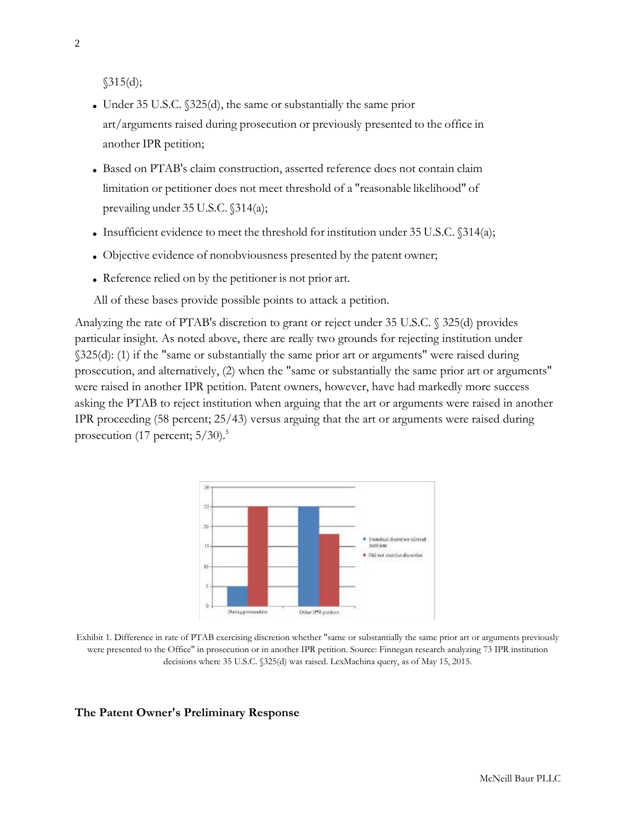$$315(d);$ 

- Under 35 U.S.C.  $$325(d)$ , the same or substantially the same prior art/arguments raised during prosecution or previously presented to the office in another IPR petition;
- Based on PTAB's claim construction, asserted reference does not contain claim limitation or petitioner does not meet threshold of a "reasonable likelihood" of prevailing under 35 U.S.C. §314(a);
- Insufficient evidence to meet the threshold for institution under 35 U.S.C.  $\delta$ 314(a);
- Objective evidence of nonobviousness presented by the patent owner;
- Reference relied on by the petitioner is not prior art.

All of these bases provide possible points to attack a petition.

Analyzing the rate of PTAB's discretion to grant or reject under 35 U.S.C. § 325(d) provides particular insight. As noted above, there are really two grounds for rejecting institution under §325(d): (1) if the "same or substantially the same prior art or arguments" were raised during prosecution, and alternatively, (2) when the "same or substantially the same prior art or arguments" were raised in another IPR petition. Patent owners, however, have had markedly more success asking the PTAB to reject institution when arguing that the art or arguments were raised in another IPR proceeding (58 percent; 25/43) versus arguing that the art or arguments were raised during prosecution (17 percent;  $5/30$ ).<sup>5</sup>



Exhibit 1. Difference in rate of PTAB exercising discretion whether "same or substantially the same prior art or arguments previously were presented to the Office" in prosecution or in another IPR petition. Source: Finnegan research analyzing 73 IPR institution decisions where 35 U.S.C. §325(d) was raised. LexMachina query, as of May 15, 2015.

#### **The Patent Owner's Preliminary Response**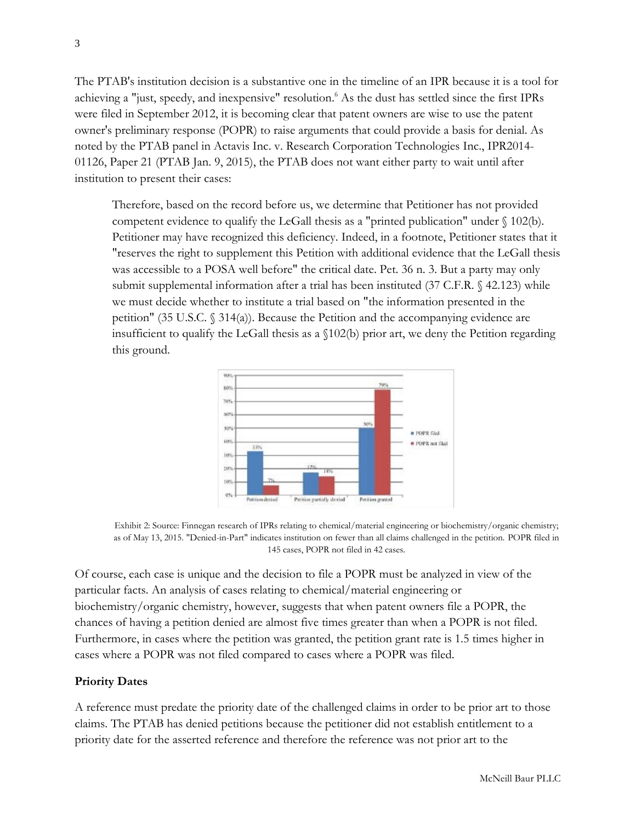The PTAB's institution decision is a substantive one in the timeline of an IPR because it is a tool for achieving a "just, speedy, and inexpensive" resolution.<sup>6</sup> As the dust has settled since the first IPRs were filed in September 2012, it is becoming clear that patent owners are wise to use the patent owner's preliminary response (POPR) to raise arguments that could provide a basis for denial. As noted by the PTAB panel in Actavis Inc. v. Research Corporation Technologies Inc., IPR2014- 01126, Paper 21 (PTAB Jan. 9, 2015), the PTAB does not want either party to wait until after institution to present their cases:

Therefore, based on the record before us, we determine that Petitioner has not provided competent evidence to qualify the LeGall thesis as a "printed publication" under § 102(b). Petitioner may have recognized this deficiency. Indeed, in a footnote, Petitioner states that it "reserves the right to supplement this Petition with additional evidence that the LeGall thesis was accessible to a POSA well before" the critical date. Pet. 36 n. 3. But a party may only submit supplemental information after a trial has been instituted (37 C.F.R. § 42.123) while we must decide whether to institute a trial based on "the information presented in the petition" (35 U.S.C. § 314(a)). Because the Petition and the accompanying evidence are insufficient to qualify the LeGall thesis as a §102(b) prior art, we deny the Petition regarding this ground.





Of course, each case is unique and the decision to file a POPR must be analyzed in view of the particular facts. An analysis of cases relating to chemical/material engineering or biochemistry/organic chemistry, however, suggests that when patent owners file a POPR, the chances of having a petition denied are almost five times greater than when a POPR is not filed. Furthermore, in cases where the petition was granted, the petition grant rate is 1.5 times higher in cases where a POPR was not filed compared to cases where a POPR was filed.

## **Priority Dates**

A reference must predate the priority date of the challenged claims in order to be prior art to those claims. The PTAB has denied petitions because the petitioner did not establish entitlement to a priority date for the asserted reference and therefore the reference was not prior art to the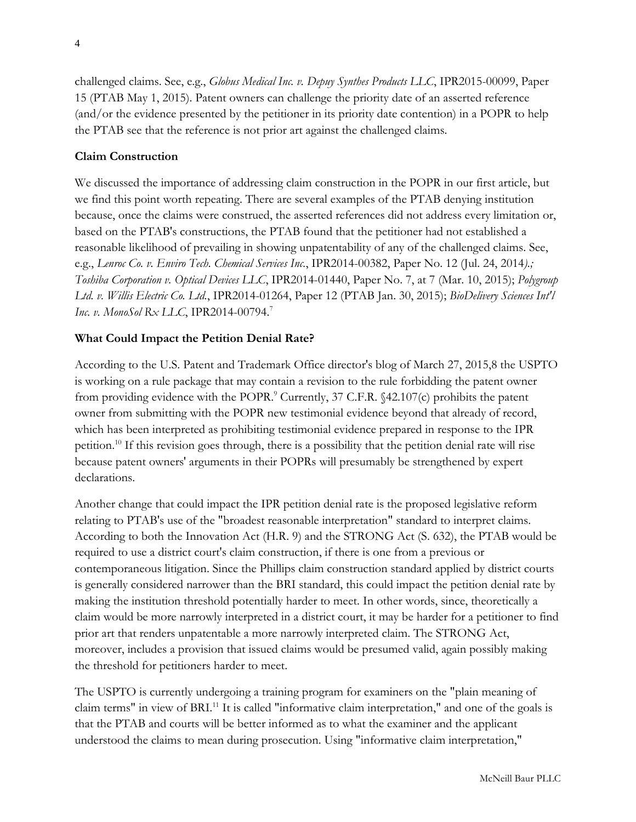challenged claims. See, e.g., *Globus Medical Inc. v. Depuy Synthes Products LLC*, IPR2015-00099, Paper 15 (PTAB May 1, 2015). Patent owners can challenge the priority date of an asserted reference (and/or the evidence presented by the petitioner in its priority date contention) in a POPR to help the PTAB see that the reference is not prior art against the challenged claims.

# **Claim Construction**

We discussed the importance of addressing claim construction in the POPR in our first article, but we find this point worth repeating. There are several examples of the PTAB denying institution because, once the claims were construed, the asserted references did not address every limitation or, based on the PTAB's constructions, the PTAB found that the petitioner had not established a reasonable likelihood of prevailing in showing unpatentability of any of the challenged claims. See, e.g., *Lenroc Co. v. Enviro Tech. Chemical Services Inc.*, IPR2014-00382, Paper No. 12 (Jul. 24, 2014*).; Toshiba Corporation v. Optical Devices LLC*, IPR2014-01440, Paper No. 7, at 7 (Mar. 10, 2015); *Polygroup Ltd. v. Willis Electric Co. Ltd.*, IPR2014-01264, Paper 12 (PTAB Jan. 30, 2015); *BioDelivery Sciences Int'l Inc. v. MonoSol Rx LLC*, IPR2014-00794.7

# **What Could Impact the Petition Denial Rate?**

According to the U.S. Patent and Trademark Office director's blog of March 27, 2015,8 the USPTO is working on a rule package that may contain a revision to the rule forbidding the patent owner from providing evidence with the POPR.9 Currently, 37 C.F.R. §42.107(c) prohibits the patent owner from submitting with the POPR new testimonial evidence beyond that already of record, which has been interpreted as prohibiting testimonial evidence prepared in response to the IPR petition.10 If this revision goes through, there is a possibility that the petition denial rate will rise because patent owners' arguments in their POPRs will presumably be strengthened by expert declarations.

Another change that could impact the IPR petition denial rate is the proposed legislative reform relating to PTAB's use of the "broadest reasonable interpretation" standard to interpret claims. According to both the Innovation Act (H.R. 9) and the STRONG Act (S. 632), the PTAB would be required to use a district court's claim construction, if there is one from a previous or contemporaneous litigation. Since the Phillips claim construction standard applied by district courts is generally considered narrower than the BRI standard, this could impact the petition denial rate by making the institution threshold potentially harder to meet. In other words, since, theoretically a claim would be more narrowly interpreted in a district court, it may be harder for a petitioner to find prior art that renders unpatentable a more narrowly interpreted claim. The STRONG Act, moreover, includes a provision that issued claims would be presumed valid, again possibly making the threshold for petitioners harder to meet.

The USPTO is currently undergoing a training program for examiners on the "plain meaning of claim terms" in view of BRI.<sup>11</sup> It is called "informative claim interpretation," and one of the goals is that the PTAB and courts will be better informed as to what the examiner and the applicant understood the claims to mean during prosecution. Using "informative claim interpretation,"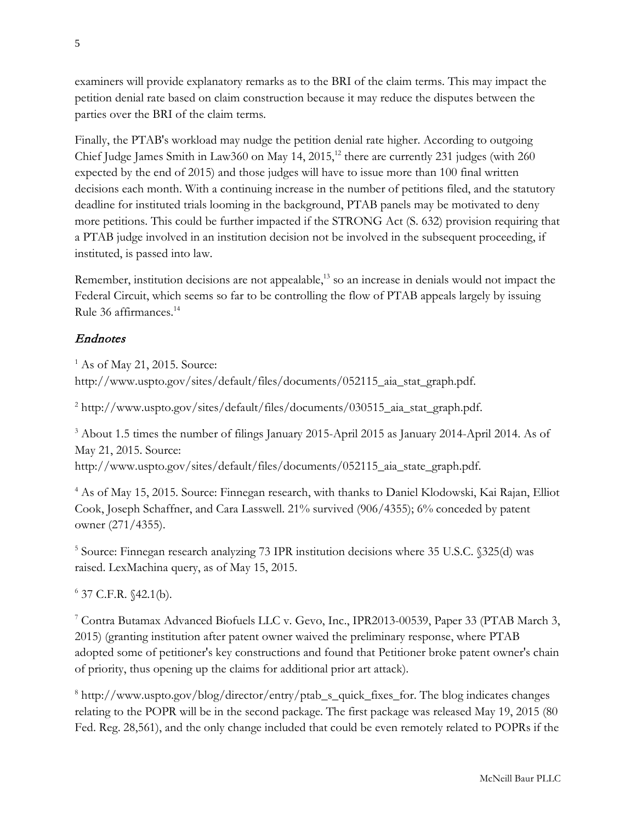examiners will provide explanatory remarks as to the BRI of the claim terms. This may impact the petition denial rate based on claim construction because it may reduce the disputes between the parties over the BRI of the claim terms.

Finally, the PTAB's workload may nudge the petition denial rate higher. According to outgoing Chief Judge James Smith in Law360 on May  $14$ ,  $2015$ ,<sup>12</sup> there are currently 231 judges (with  $260$ expected by the end of 2015) and those judges will have to issue more than 100 final written decisions each month. With a continuing increase in the number of petitions filed, and the statutory deadline for instituted trials looming in the background, PTAB panels may be motivated to deny more petitions. This could be further impacted if the STRONG Act (S. 632) provision requiring that a PTAB judge involved in an institution decision not be involved in the subsequent proceeding, if instituted, is passed into law.

Remember, institution decisions are not appealable,<sup>13</sup> so an increase in denials would not impact the Federal Circuit, which seems so far to be controlling the flow of PTAB appeals largely by issuing Rule 36 affirmances.14

# Endnotes

<sup>1</sup> As of May 21, 2015. Source: http://www.uspto.gov/sites/default/files/documents/052115\_aia\_stat\_graph.pdf.

 $^{2}$  http://www.uspto.gov/sites/default/files/documents/030515\_aia\_stat\_graph.pdf.

<sup>3</sup> About 1.5 times the number of filings January 2015-April 2015 as January 2014-April 2014. As of May 21, 2015. Source:

http://www.uspto.gov/sites/default/files/documents/052115\_aia\_state\_graph.pdf.

<sup>4</sup> As of May 15, 2015. Source: Finnegan research, with thanks to Daniel Klodowski, Kai Rajan, Elliot Cook, Joseph Schaffner, and Cara Lasswell. 21% survived (906/4355); 6% conceded by patent owner (271/4355).

<sup>5</sup> Source: Finnegan research analyzing 73 IPR institution decisions where 35 U.S.C. §325(d) was raised. LexMachina query, as of May 15, 2015.

 $6$  37 C.F.R.  $$42.1(b).$ 

<sup>7</sup> Contra Butamax Advanced Biofuels LLC v. Gevo, Inc., IPR2013-00539, Paper 33 (PTAB March 3, 2015) (granting institution after patent owner waived the preliminary response, where PTAB adopted some of petitioner's key constructions and found that Petitioner broke patent owner's chain of priority, thus opening up the claims for additional prior art attack).

<sup>8</sup> http://www.uspto.gov/blog/director/entry/ptab\_s\_quick\_fixes\_for. The blog indicates changes relating to the POPR will be in the second package. The first package was released May 19, 2015 (80 Fed. Reg. 28,561), and the only change included that could be even remotely related to POPRs if the